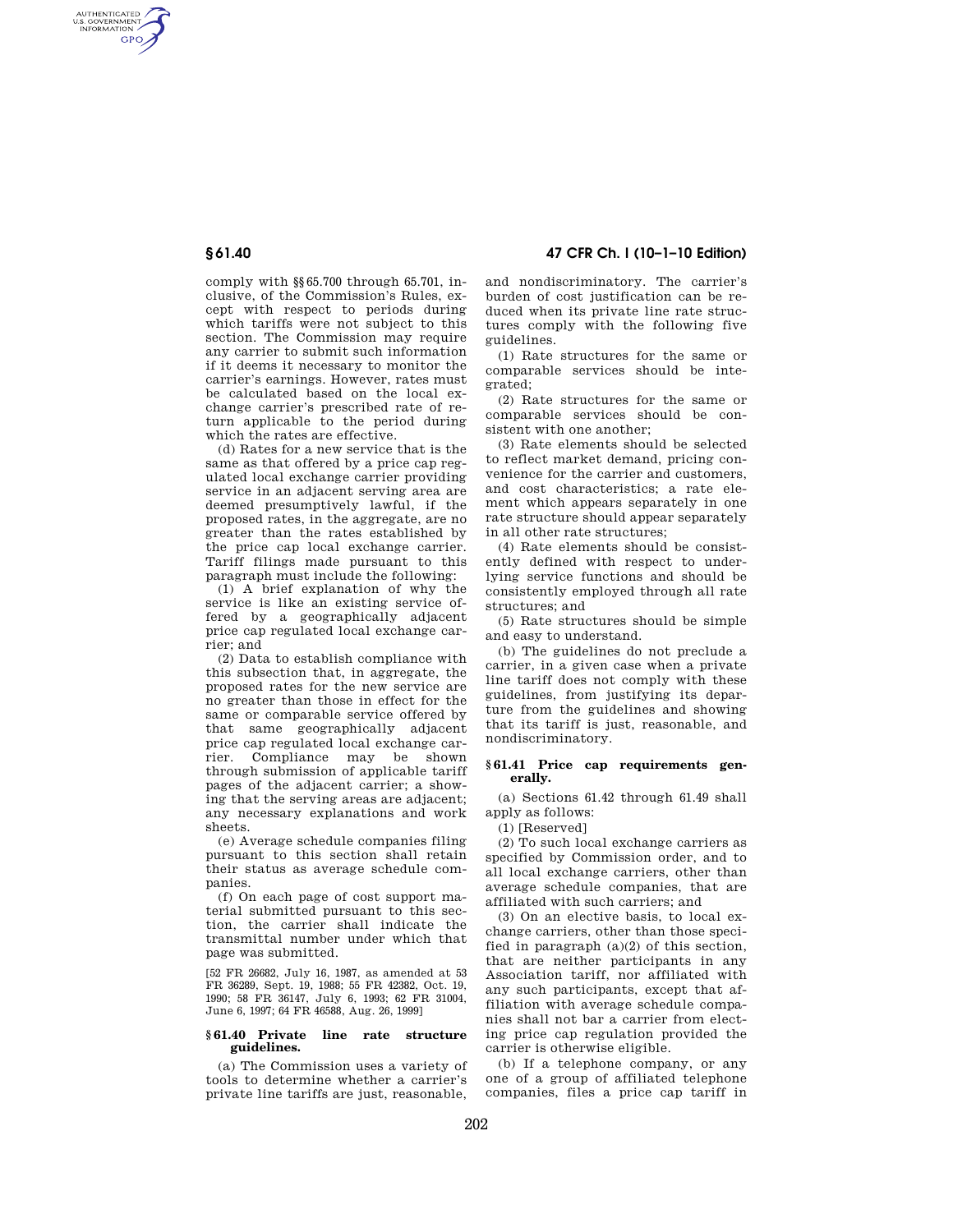AUTHENTICATED<br>U.S. GOVERNMENT<br>INFORMATION **GPO** 

**§ 61.40 47 CFR Ch. I (10–1–10 Edition)** 

comply with §§65.700 through 65.701, inclusive, of the Commission's Rules, except with respect to periods during which tariffs were not subject to this section. The Commission may require any carrier to submit such information if it deems it necessary to monitor the carrier's earnings. However, rates must be calculated based on the local exchange carrier's prescribed rate of return applicable to the period during which the rates are effective.

(d) Rates for a new service that is the same as that offered by a price cap regulated local exchange carrier providing service in an adjacent serving area are deemed presumptively lawful, if the proposed rates, in the aggregate, are no greater than the rates established by the price cap local exchange carrier. Tariff filings made pursuant to this paragraph must include the following:

(1) A brief explanation of why the service is like an existing service offered by a geographically adjacent price cap regulated local exchange carrier; and

(2) Data to establish compliance with this subsection that, in aggregate, the proposed rates for the new service are no greater than those in effect for the same or comparable service offered by that same geographically adjacent price cap regulated local exchange car-<br>rier. Compliance may be shown rier. Compliance may be through submission of applicable tariff pages of the adjacent carrier; a showing that the serving areas are adjacent; any necessary explanations and work sheets.

(e) Average schedule companies filing pursuant to this section shall retain their status as average schedule companies.

(f) On each page of cost support material submitted pursuant to this section, the carrier shall indicate the transmittal number under which that page was submitted.

[52 FR 26682, July 16, 1987, as amended at 53 FR 36289, Sept. 19, 1988; 55 FR 42382, Oct. 19, 1990; 58 FR 36147, July 6, 1993; 62 FR 31004, June 6, 1997; 64 FR 46588, Aug. 26, 1999]

## **§ 61.40 Private line rate structure guidelines.**

(a) The Commission uses a variety of tools to determine whether a carrier's private line tariffs are just, reasonable,

and nondiscriminatory. The carrier's burden of cost justification can be reduced when its private line rate structures comply with the following five guidelines.

(1) Rate structures for the same or comparable services should be integrated;

(2) Rate structures for the same or comparable services should be consistent with one another;

(3) Rate elements should be selected to reflect market demand, pricing convenience for the carrier and customers, and cost characteristics; a rate element which appears separately in one rate structure should appear separately in all other rate structures;

(4) Rate elements should be consistently defined with respect to underlying service functions and should be consistently employed through all rate structures; and

(5) Rate structures should be simple and easy to understand.

(b) The guidelines do not preclude a carrier, in a given case when a private line tariff does not comply with these guidelines, from justifying its departure from the guidelines and showing that its tariff is just, reasonable, and nondiscriminatory.

## **§ 61.41 Price cap requirements generally.**

(a) Sections 61.42 through 61.49 shall apply as follows:

(1) [Reserved]

(2) To such local exchange carriers as specified by Commission order, and to all local exchange carriers, other than average schedule companies, that are affiliated with such carriers; and

(3) On an elective basis, to local exchange carriers, other than those specified in paragraph (a)(2) of this section, that are neither participants in any Association tariff, nor affiliated with any such participants, except that affiliation with average schedule companies shall not bar a carrier from electing price cap regulation provided the carrier is otherwise eligible.

(b) If a telephone company, or any one of a group of affiliated telephone companies, files a price cap tariff in